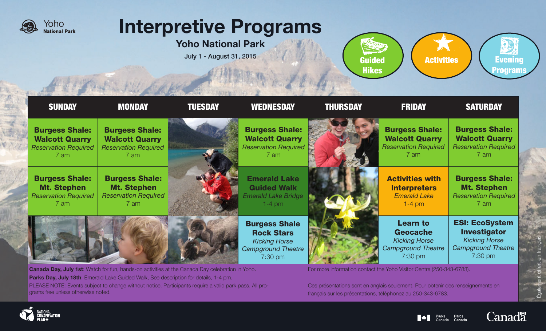

# Interpretive Programs

Yoho National Park

July 1 - August 31, 2015





| <b>SUNDAY</b>                                                                         | <b>MONDAY</b>                                                                         | <b>TUESDAY</b> | <b>WEDNESDAY</b>                                                                                          | <b>THURSDAY</b> | <b>FRIDAY</b>                                                                                      | <b>SATURDAY</b>                                                                                                |
|---------------------------------------------------------------------------------------|---------------------------------------------------------------------------------------|----------------|-----------------------------------------------------------------------------------------------------------|-----------------|----------------------------------------------------------------------------------------------------|----------------------------------------------------------------------------------------------------------------|
| <b>Burgess Shale:</b><br><b>Walcott Quarry</b><br><b>Reservation Required</b><br>7 am | <b>Burgess Shale:</b><br><b>Walcott Quarry</b><br><b>Reservation Required</b><br>7 am |                | <b>Burgess Shale:</b><br><b>Walcott Quarry</b><br><b>Reservation Required</b><br>7 am                     |                 | <b>Burgess Shale:</b><br><b>Walcott Quarry</b><br><b>Reservation Required</b><br>7 am              | <b>Burgess Shale:</b><br><b>Walcott Quarry</b><br><b>Reservation Required</b><br>7 am                          |
| <b>Burgess Shale:</b><br><b>Mt. Stephen</b><br><b>Reservation Required</b><br>7 am    | <b>Burgess Shale:</b><br><b>Mt. Stephen</b><br><b>Reservation Required</b><br>7 am    |                | <b>Emerald Lake</b><br><b>Guided Walk</b><br><b>Emerald Lake Bridge</b><br>$1-4$ pm                       |                 | <b>Activities with</b><br><b>Interpreters</b><br><b>Emerald Lake</b><br>$1-4$ pm                   | <b>Burgess Shale:</b><br><b>Mt. Stephen</b><br><b>Reservation Required</b><br>7 am                             |
|                                                                                       |                                                                                       |                | <b>Burgess Shale</b><br><b>Rock Stars</b><br><b>Kicking Horse</b><br><b>Campground Theatre</b><br>7:30 pm |                 | <b>Learn to</b><br><b>Geocache</b><br><b>Kicking Horse</b><br><b>Campground Theatre</b><br>7:30 pm | <b>ESI: EcoSystem</b><br><b>Investigator</b><br><b>Kicking Horse</b><br><b>Campground Theatre</b><br>$7:30$ pm |

**Canada Day, July 1st**: Watch for fun, hands-on activities at the Canada Day celebration in Yoho. Parks Day, July 18th: Emerald Lake Guided Walk, See description for details, 1-4 pm. PLEASE NOTE: Events subject to change without notice. Participants require a valid park pass. All programs free unless otherwise noted.

For more information contact the Yoho Visitor Centre (250-343-6783).

Ces présentations sont en anglais seulement. Pour obtenir des renseignements en français sur les présentations, téléphonez au 250-343-6783.